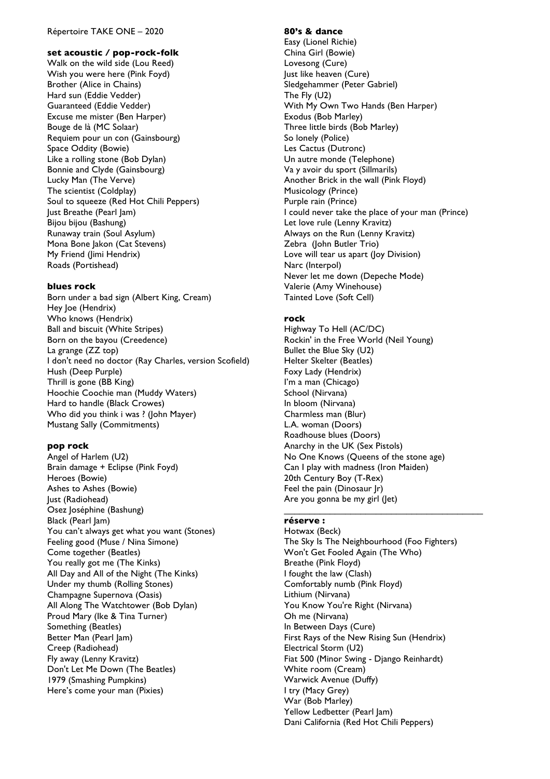#### Répertoire TAKE ONE – 2020

## **set acoustic / pop-rock-folk**

Walk on the wild side (Lou Reed) Wish you were here (Pink Foyd) Brother (Alice in Chains) Hard sun (Eddie Vedder) Guaranteed (Eddie Vedder) Excuse me mister (Ben Harper) Bouge de là (MC Solaar) Requiem pour un con (Gainsbourg) Space Oddity (Bowie) Like a rolling stone (Bob Dylan) Bonnie and Clyde (Gainsbourg) Lucky Man (The Verve) The scientist (Coldplay) Soul to squeeze (Red Hot Chili Peppers) Just Breathe (Pearl Jam) Bijou bijou (Bashung) Runaway train (Soul Asylum) Mona Bone Jakon (Cat Stevens) My Friend (Jimi Hendrix) Roads (Portishead)

## **blues rock**

Born under a bad sign (Albert King, Cream) Hey Joe (Hendrix) Who knows (Hendrix) Ball and biscuit (White Stripes) Born on the bayou (Creedence) La grange (ZZ top) I don't need no doctor (Ray Charles, version Scofield) Hush (Deep Purple) Thrill is gone (BB King) Hoochie Coochie man (Muddy Waters) Hard to handle (Black Crowes) Who did you think i was ? (John Mayer) Mustang Sally (Commitments)

## **pop rock**

Angel of Harlem (U2) Brain damage + Eclipse (Pink Foyd) Heroes (Bowie) Ashes to Ashes (Bowie) Just (Radiohead) Osez Joséphine (Bashung) Black (Pearl Jam) You can't always get what you want (Stones) Feeling good (Muse / Nina Simone) Come together (Beatles) You really got me (The Kinks) All Day and All of the Night (The Kinks) Under my thumb (Rolling Stones) Champagne Supernova (Oasis) All Along The Watchtower (Bob Dylan) Proud Mary (Ike & Tina Turner) Something (Beatles) Better Man (Pearl Jam) Creep (Radiohead) Fly away (Lenny Kravitz) Don't Let Me Down (The Beatles) 1979 (Smashing Pumpkins) Here's come your man (Pixies)

## **80's & dance** Easy (Lionel Richie) China Girl (Bowie) Lovesong (Cure) Just like heaven (Cure) Sledgehammer (Peter Gabriel) The Fly (U2) With My Own Two Hands (Ben Harper) Exodus (Bob Marley) Three little birds (Bob Marley) So lonely (Police) Les Cactus (Dutronc) Un autre monde (Telephone) Va y avoir du sport (Sillmarils) Another Brick in the wall (Pink Floyd) Musicology (Prince) Purple rain (Prince) I could never take the place of your man (Prince) Let love rule (Lenny Kravitz) Always on the Run (Lenny Kravitz) Zebra (John Butler Trio) Love will tear us apart (Joy Division) Narc (Interpol) Never let me down (Depeche Mode) Valerie (Amy Winehouse) Tainted Love (Soft Cell)

## **rock**

Highway To Hell (AC/DC) Rockin' in the Free World (Neil Young) Bullet the Blue Sky (U2) Helter Skelter (Beatles) Foxy Lady (Hendrix) I'm a man (Chicago) School (Nirvana) In bloom (Nirvana) Charmless man (Blur) L.A. woman (Doors) Roadhouse blues (Doors) Anarchy in the UK (Sex Pistols) No One Knows (Queens of the stone age) Can I play with madness (Iron Maiden) 20th Century Boy (T-Rex) Feel the pain (Dinosaur Jr) Are you gonna be my girl (Jet)

 $\mathcal{L}_\mathcal{L}$  , which is a set of the set of the set of the set of the set of the set of the set of the set of the set of the set of the set of the set of the set of the set of the set of the set of the set of the set of

# **réserve :**

Hotwax (Beck) The Sky Is The Neighbourhood (Foo Fighters) Won't Get Fooled Again (The Who) Breathe (Pink Floyd) I fought the law (Clash) Comfortably numb (Pink Floyd) Lithium (Nirvana) You Know You're Right (Nirvana) Oh me (Nirvana) In Between Days (Cure) First Rays of the New Rising Sun (Hendrix) Electrical Storm (U2) Fiat 500 (Minor Swing - Django Reinhardt) White room (Cream) Warwick Avenue (Duffy) I try (Macy Grey) War (Bob Marley) Yellow Ledbetter (Pearl Jam) Dani California (Red Hot Chili Peppers)